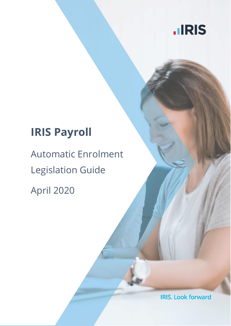

## **IRIS Payroll**

# Automatic Enrolment Legislation Guide

April 2020

**IRIS. Look forward**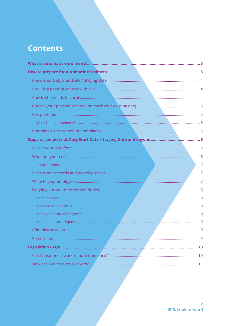## **Contents**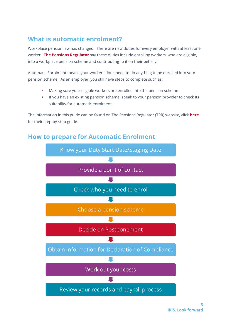## <span id="page-2-0"></span>**What is automatic enrolment?**

Workplace pension law has changed. There are new duties for every employer with at least one worker. **[The Pensions Regulator](http://www.thepensionsregulator.gov.uk/employers/your-step-by-step-guide-to-automatic-enrolment.aspx)** say these duties include enrolling workers, who are eligible, into a workplace pension scheme and contributing to it on their behalf.

Automatic Enrolment means your workers don't need to do anything to be enrolled into your pension scheme. As an employer, you still have steps to complete such as:

- Making sure your eligible workers are enrolled into the pension scheme
- If you have an existing pension scheme, speak to your pension provider to check its suitability for automatic enrolment

The information in this guide can be found on The Pensions Regulator (TPR) website, click **[here](http://www.thepensionsregulator.gov.uk/employers.aspx)** for their step-by-step guide.

### <span id="page-2-1"></span>**How to prepare for Automatic Enrolment**

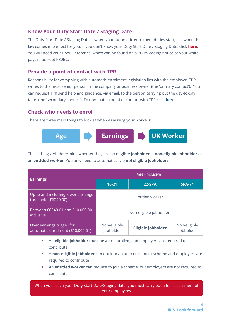#### <span id="page-3-0"></span>**Know Your Duty Start Date / Staging Date**

The Duty Start Date / Staging Date is when your automatic enrolment duties start; it is when the law comes into effect for you. If you don't know your Duty Start Date / Staging Date, click **[here](http://www.thepensionsregulator.gov.uk/employers/staging-date.aspx)**. You will need your PAYE Reference, which can be found on a P6/P9 coding notice or your white payslip booklet P30BC.

#### <span id="page-3-1"></span>**Provide a point of contact with TPR**

Responsibility for complying with automatic enrolment legislation lies with the employer. TPR writes to the most senior person in the company or business owner (the 'primary contact'). You can request TPR send help and guidance, via email, to the person carrying out the day-to-day tasks (the 'secondary contact'). To nominate a point of contact with TPR click **[here](https://automation.thepensionsregulator.gov.uk/Nomination)**.

#### <span id="page-3-2"></span>**Check who needs to enrol**

There are three main things to look at when assessing your workers:



These things will determine whether they are an **eligible jobholder**, a **non-eligible jobholder** or an **entitled worker**. You only need to automatically enrol **eligible jobholders**.

| <b>Earnings</b>                                               | Age (inclusive)           |                    |                           |  |
|---------------------------------------------------------------|---------------------------|--------------------|---------------------------|--|
|                                                               | $16 - 21$                 | <b>22-SPA</b>      | <b>SPA-74</b>             |  |
| Up to and including lower earnings<br>threshold (£6240.00)    | <b>Entitled worker</b>    |                    |                           |  |
| Between £6240.01 and £10,000.00<br>inclusive                  | Non-eligible jobholder    |                    |                           |  |
| Over earnings trigger for<br>automatic enrolment (£10,000.01) | Non-eligible<br>jobholder | Eligible jobholder | Non-eligible<br>jobholder |  |

- An **eligible jobholder** must be auto enrolled, and employers are required to contribute
- A **non-eligible jobholder** can opt into an auto enrolment scheme and employers are required to contribute
- An **entitled worker** can request to join a scheme, but employers are not required to contribute

When you reach your Duty Start Date/Staging date, you must carry out a full assessment of your employees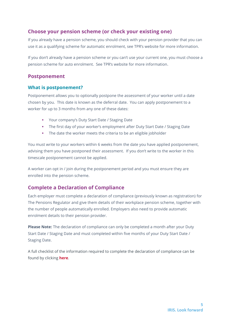#### <span id="page-4-0"></span>**Choose your pension scheme (or check your existing one)**

If you already have a pension scheme, you should check with your pension provider that you can use it as a qualifying scheme for automatic enrolment, see TPR's website for more information.

If you don't already have a pension scheme or you can't use your current one, you must choose a pension scheme for auto enrolment. See TPR's website for more information.

#### <span id="page-4-1"></span>**Postponement**

#### <span id="page-4-2"></span>**What is postponement?**

Postponement allows you to optionally postpone the assessment of your worker until a date chosen by you. This date is known as the deferral date. You can apply postponement to a worker for up to 3 months from any one of these dates:

- Your company's Duty Start Date / Staging Date
- **The first day of your worker's employment after Duty Start Date / Staging Date**
- **•** The date the worker meets the criteria to be an eligible jobholder

You must write to your workers within 6 weeks from the date you have applied postponement, advising them you have postponed their assessment. If you don't write to the worker in this timescale postponement cannot be applied.

A worker can opt in / join during the postponement period and you must ensure they are enrolled into the pension scheme.

#### <span id="page-4-3"></span>**Complete a Declaration of Compliance**

Each employer must complete a declaration of compliance (previously known as registration) for The Pensions Regulator and give them details of their workplace pension scheme, together with the number of people automatically enrolled. Employers also need to provide automatic enrolment details to their pension provider.

**Please Note:** The declaration of compliance can only be completed a month after your Duty Start Date / Staging Date and must completed within five months of your Duty Start Date / Staging Date.

A full checklist of the information required to complete the declaration of compliance can be found by clicking **[here](http://www.thepensionsregulator.gov.uk/docs/automatic-enrolment-online-registration-checklist.pdf)**.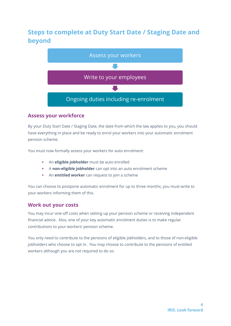## <span id="page-5-0"></span>**Steps to complete at Duty Start Date / Staging Date and beyond**



#### <span id="page-5-1"></span>**Assess your workforce**

By your Duty Start Date / Staging Date, the date from which the law applies to you, you should have everything in place and be ready to enrol your workers into your automatic enrolment pension scheme.

You must now formally assess your workers for auto enrolment:

- An **eligible jobholder** must be auto enrolled
- A **non-eligible jobholder** can opt into an auto enrolment scheme
- An **entitled worker** can request to join a scheme

You can choose to postpone automatic enrolment for up to three months; you must write to your workers informing them of this.

#### <span id="page-5-2"></span>**Work out your costs**

You may incur one-off costs when setting up your pension scheme or receiving independent financial advice. Also, one of your key automatic enrolment duties is to make regular contributions to your workers' pension scheme.

You only need to contribute to the pensions of eligible jobholders, and to those of non-eligible jobholders who choose to opt in. You may choose to contribute to the pensions of entitled workers although you are not required to do so.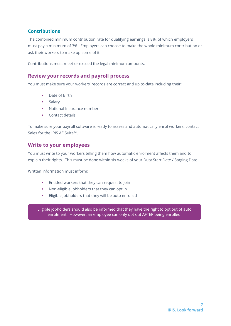#### <span id="page-6-0"></span>**Contributions**

The combined minimum contribution rate for qualifying earnings is 8%, of which employers must pay a minimum of 3%. Employers can choose to make the whole minimum contribution or ask their workers to make up some of it.

Contributions must meet or exceed the legal minimum amounts.

#### <span id="page-6-1"></span>**Review your records and payroll process**

You must make sure your workers' records are correct and up to-date including their:

- Date of Birth
- Salary
- National Insurance number
- Contact details

To make sure your payroll software is ready to assess and automatically enrol workers, contact Sales for the IRIS AE Suite™.

#### <span id="page-6-2"></span>**Write to your employees**

You must write to your workers telling them how automatic enrolment affects them and to explain their rights. This must be done within six weeks of your Duty Start Date / Staging Date.

Written information must inform:

- Entitled workers that they can request to join
- Non-eligible jobholders that they can opt in
- Eligible jobholders that they will be auto enrolled

Eligible jobholders should also be informed that they have the right to opt out of auto enrolment. However, an employee can only opt out AFTER being enrolled.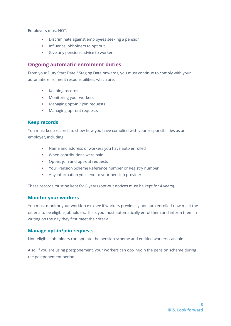Employers must NOT:

- **•** Discriminate against employees seeking a pension
- **·** Influence jobholders to opt out
- **•** Give any pensions advice to workers

#### <span id="page-7-0"></span>**Ongoing automatic enrolment duties**

From your Duty Start Date / Staging Date onwards, you must continue to comply with your automatic enrolment responsibilities, which are:

- **EXECUTE:** Keeping records
- **•** Monitoring your workers
- Managing opt-in / join requests
- Managing opt-out requests

#### <span id="page-7-1"></span>**Keep records**

You must keep records to show how you have complied with your responsibilities as an employer, including:

- Name and address of workers you have auto enrolled
- When contributions were paid
- Opt-in, join and opt-out requests
- Your Pension Scheme Reference number or Registry number
- **EXECT:** Any information you send to your pension provider

These records must be kept for 6 years (opt-out notices must be kept for 4 years).

#### <span id="page-7-2"></span>**Monitor your workers**

You must monitor your workforce to see if workers previously not auto enrolled now meet the criteria to be eligible jobholders. If so, you must automatically enrol them and inform them in writing on the day they first meet the criteria.

#### <span id="page-7-3"></span>**Manage opt-in/join requests**

Non-eligible jobholders can opt into the pension scheme and entitled workers can join.

Also, if you are using postponement, your workers can opt-in/join the pension scheme during the postponement period.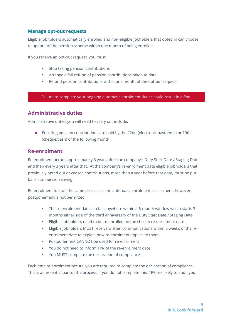#### <span id="page-8-0"></span>**Manage opt-out requests**

Eligible jobholders automatically enrolled and non-eligible jobholders that opted in can choose to opt out of the pension scheme within one month of being enrolled.

If you receive an opt-out request, you must:

- Stop taking pension contributions
- Arrange a full refund of pension contributions taken to date
- Refund pension contributions within one month of the opt-out request

Failure to complete your ongoing automatic enrolment duties could result in a fine.

#### <span id="page-8-1"></span>**Administrative duties**

Administrative duties you will need to carry out include:

■ Ensuring pension contributions are paid by the 22nd (electronic payments) or 19th (cheque/cash) of the following month

#### <span id="page-8-2"></span>**Re-enrolment**

Re-enrolment occurs approximately 3 years after the company's Duty Start Date / Staging Date and then every 3 years after that. At the company's re-enrolment date eligible jobholders that previously opted out or ceased contributions, more than a year before that date, must be put back into pension saving.

Re-enrolment follows the same process as the automatic enrolment assessment; however, postponement is not permitted.

- The re-enrolment date can fall anywhere within a 6-month window which starts 3 months either side of the third anniversary of the Duty Start Date / Staging Date
- Eligible jobholders need to be re-enrolled on the chosen re-enrolment date
- Eligible jobholders MUST receive written communications within 6 weeks of the reenrolment date to explain how re-enrolment applies to them
- Postponement CANNOT be used for re-enrolment
- You do not need to inform TPR of the re-enrolment date
- You MUST complete the declaration of compliance

Each time re-enrolment occurs, you are required to complete the declaration of compliance. This is an essential part of the process, if you do not complete this, TPR are likely to audit you.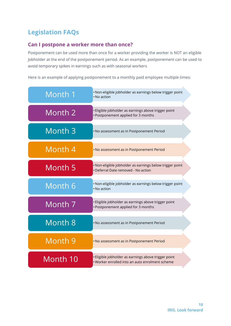## <span id="page-9-0"></span>**Legislation FAQs**

#### <span id="page-9-1"></span>**Can I postpone a worker more than once?**

Postponement can be used more than once for a worker providing the worker is NOT an eligible Jobholder at the end of the postponement period. As an example, postponement can be used to avoid temporary spikes in earnings such as with seasonal workers

Here is an example of applying postponement to a monthly paid employee multiple times:

| Month 1            | · Non-eligible jobholder as earnings below trigger point<br>• No action                                 |
|--------------------|---------------------------------------------------------------------------------------------------------|
| Month 2            | Eligible jobholder as earnings above trigger point<br>· Postponement applied for 3 months               |
| Month <sub>3</sub> | . No assessment as in Postponement Period                                                               |
| Month 4            | . No assessment as in Postponement Period                                                               |
| Month 5            | · Non-eligible jobholder as earnings below trigger point<br>· Deferral Date removed - No action         |
| Month 6            | · Non-eligible jobholder as earnings below trigger point<br>• No action                                 |
| Month 7            | Eligible jobholder as earnings above trigger point<br>· Postponement applied for 3 months               |
| Month 8            | . No assessment as in Postponement Period                                                               |
| Month 9            | . No assessment as in Postponement Period                                                               |
| Month 10           | · Eligible jobholder as earnings above trigger point<br>. Worker enrolled into an auto enrolment scheme |
|                    |                                                                                                         |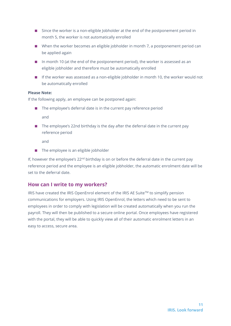- Since the worker is a non-eligible Jobholder at the end of the postponement period in month 5, the worker is not automatically enrolled
- When the worker becomes an eligible jobholder in month 7, a postponement period can be applied again
- In month 10 (at the end of the postponement period), the worker is assessed as an eligible jobholder and therefore must be automatically enrolled
- If the worker was assessed as a non-eligible jobholder in month 10, the worker would not be automatically enrolled

#### **Please Note:**

If the following apply, an employee can be postponed again:

- The employee's deferral date is in the current pay reference period and
- The employee's 22nd birthday is the day after the deferral date in the current pay reference period

and

■ The employee is an eligible jobholder

If, however the employee's  $22<sup>nd</sup>$  birthday is on or before the deferral date in the current pay reference period and the employee is an eligible jobholder, the automatic enrolment date will be set to the deferral date.

#### <span id="page-10-0"></span>**How can I write to my workers?**

IRIS have created the IRIS OpenEnrol element of the IRIS AE Suite™ to simplify pension communications for employers. Using IRIS OpenEnrol, the letters which need to be sent to employees in order to comply with legislation will be created automatically when you run the payroll. They will then be published to a secure online portal. Once employees have registered with the portal, they will be able to quickly view all of their automatic enrolment letters in an easy to access, secure area.